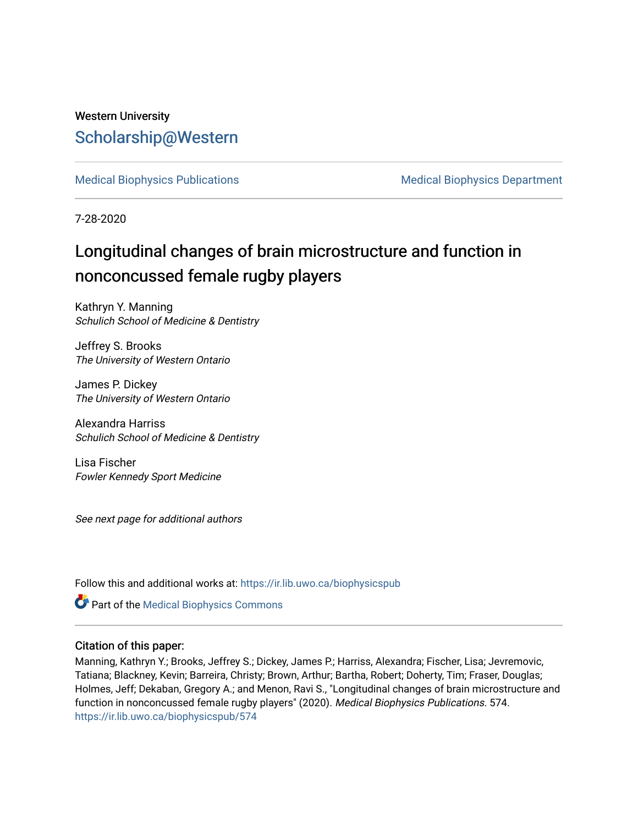# Western University [Scholarship@Western](https://ir.lib.uwo.ca/)

[Medical Biophysics Publications](https://ir.lib.uwo.ca/biophysicspub) Medical Biophysics Department

7-28-2020

# Longitudinal changes of brain microstructure and function in nonconcussed female rugby players

Kathryn Y. Manning Schulich School of Medicine & Dentistry

Jeffrey S. Brooks The University of Western Ontario

James P. Dickey The University of Western Ontario

Alexandra Harriss Schulich School of Medicine & Dentistry

Lisa Fischer Fowler Kennedy Sport Medicine

See next page for additional authors

Follow this and additional works at: [https://ir.lib.uwo.ca/biophysicspub](https://ir.lib.uwo.ca/biophysicspub?utm_source=ir.lib.uwo.ca%2Fbiophysicspub%2F574&utm_medium=PDF&utm_campaign=PDFCoverPages) 

Part of the [Medical Biophysics Commons](http://network.bepress.com/hgg/discipline/668?utm_source=ir.lib.uwo.ca%2Fbiophysicspub%2F574&utm_medium=PDF&utm_campaign=PDFCoverPages) 

### Citation of this paper:

Manning, Kathryn Y.; Brooks, Jeffrey S.; Dickey, James P.; Harriss, Alexandra; Fischer, Lisa; Jevremovic, Tatiana; Blackney, Kevin; Barreira, Christy; Brown, Arthur; Bartha, Robert; Doherty, Tim; Fraser, Douglas; Holmes, Jeff; Dekaban, Gregory A.; and Menon, Ravi S., "Longitudinal changes of brain microstructure and function in nonconcussed female rugby players" (2020). Medical Biophysics Publications. 574. [https://ir.lib.uwo.ca/biophysicspub/574](https://ir.lib.uwo.ca/biophysicspub/574?utm_source=ir.lib.uwo.ca%2Fbiophysicspub%2F574&utm_medium=PDF&utm_campaign=PDFCoverPages)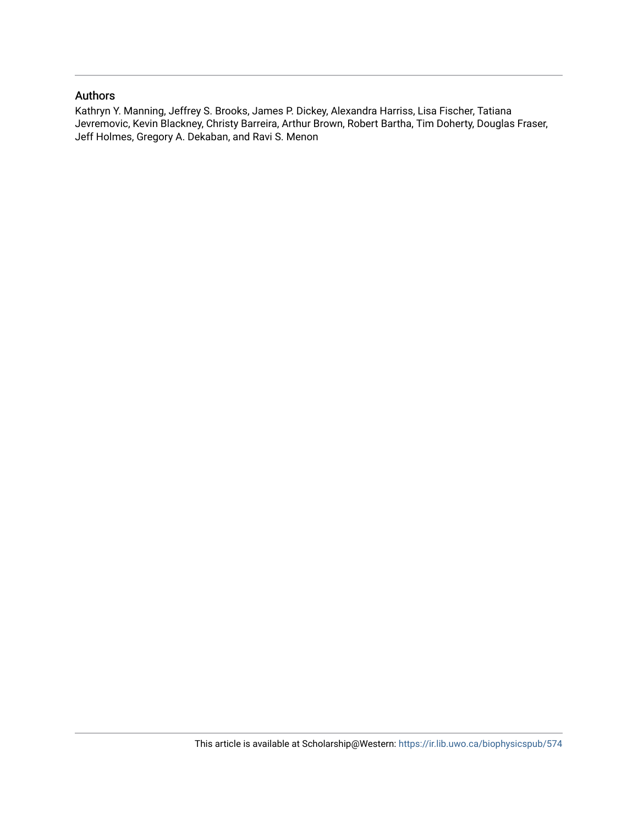#### Authors

Kathryn Y. Manning, Jeffrey S. Brooks, James P. Dickey, Alexandra Harriss, Lisa Fischer, Tatiana Jevremovic, Kevin Blackney, Christy Barreira, Arthur Brown, Robert Bartha, Tim Doherty, Douglas Fraser, Jeff Holmes, Gregory A. Dekaban, and Ravi S. Menon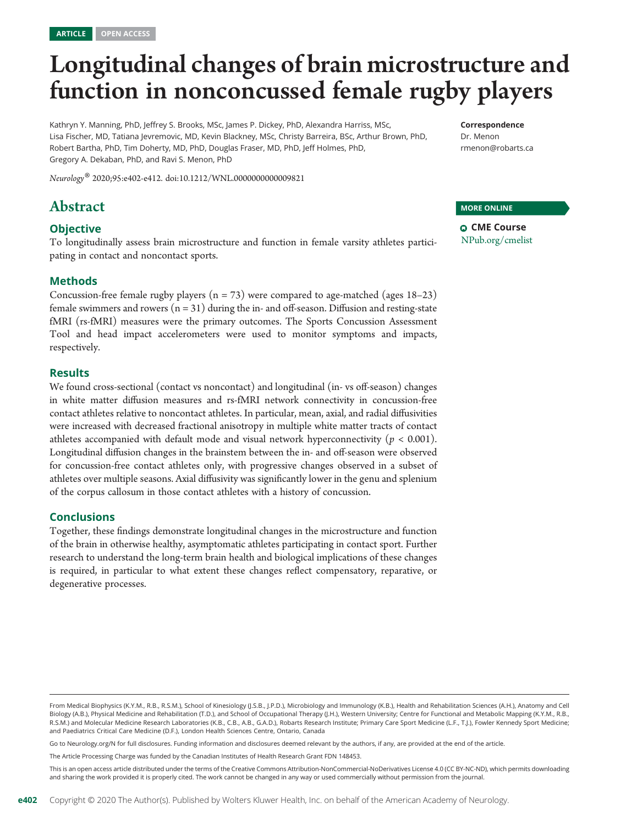# Longitudinal changes of brain microstructure and function in nonconcussed female rugby players

Kathryn Y. Manning, PhD, Jeffrey S. Brooks, MSc, James P. Dickey, PhD, Alexandra Harriss, MSc, Lisa Fischer, MD, Tatiana Jevremovic, MD, Kevin Blackney, MSc, Christy Barreira, BSc, Arthur Brown, PhD, Robert Bartha, PhD, Tim Doherty, MD, PhD, Douglas Fraser, MD, PhD, Jeff Holmes, PhD, Gregory A. Dekaban, PhD, and Ravi S. Menon, PhD

Neurology® 2020;95:e402-e412. doi[:10.1212/WNL.0000000000009821](http://dx.doi.org/10.1212/WNL.0000000000009821)

# Abstract

#### **Objective**

To longitudinally assess brain microstructure and function in female varsity athletes participating in contact and noncontact sports.

#### Methods

Concussion-free female rugby players  $(n = 73)$  were compared to age-matched (ages 18–23) female swimmers and rowers  $(n = 31)$  during the in- and off-season. Diffusion and resting-state fMRI (rs-fMRI) measures were the primary outcomes. The Sports Concussion Assessment Tool and head impact accelerometers were used to monitor symptoms and impacts, respectively.

#### Results

We found cross-sectional (contact vs noncontact) and longitudinal (in- vs off-season) changes in white matter diffusion measures and rs-fMRI network connectivity in concussion-free contact athletes relative to noncontact athletes. In particular, mean, axial, and radial diffusivities were increased with decreased fractional anisotropy in multiple white matter tracts of contact athletes accompanied with default mode and visual network hyperconnectivity ( $p < 0.001$ ). Longitudinal diffusion changes in the brainstem between the in- and off-season were observed for concussion-free contact athletes only, with progressive changes observed in a subset of athletes over multiple seasons. Axial diffusivity was significantly lower in the genu and splenium of the corpus callosum in those contact athletes with a history of concussion.

#### Conclusions

Together, these findings demonstrate longitudinal changes in the microstructure and function of the brain in otherwise healthy, asymptomatic athletes participating in contact sport. Further research to understand the long-term brain health and biological implications of these changes is required, in particular to what extent these changes reflect compensatory, reparative, or degenerative processes.

Go to [Neurology.org/N](https://n.neurology.org/lookup/doi/10.1212/WNL.0000000000009821) for full disclosures. Funding information and disclosures deemed relevant by the authors, if any, are provided at the end of the article.

The Article Processing Charge was funded by the Canadian Institutes of Health Research Grant FDN 148453.

This is an open access article distributed under the terms of the [Creative Commons Attribution-NonCommercial-NoDerivatives License 4.0 \(CC BY-NC-ND\)](http://creativecommons.org/licenses/by-nc-nd/4.0/), which permits downloading and sharing the work provided it is properly cited. The work cannot be changed in any way or used commercially without permission from the journal.

#### MORE ONLINE

**Q CME Course** [NPub.org/cmelist](http://NPub.org/cmelist)

From Medical Biophysics (K.Y.M., R.B., R.S.M.), School of Kinesiology (J.S.B., J.P.D.), Microbiology and Immunology (K.B.), Health and Rehabilitation Sciences (A.H.), Anatomy and Cell Biology (A.B.), Physical Medicine and Rehabilitation (T.D.), and School of Occupational Therapy (J.H.), Western University; Centre for Functional and Metabolic Mapping (K.Y.M., R.B., R.S.M.) and Molecular Medicine Research Laboratories (K.B., C.B., A.B., G.A.D.), Robarts Research Institute; Primary Care Sport Medicine (L.F., T.J.), Fowler Kennedy Sport Medicine; and Paediatrics Critical Care Medicine (D.F.), London Health Sciences Centre, Ontario, Canada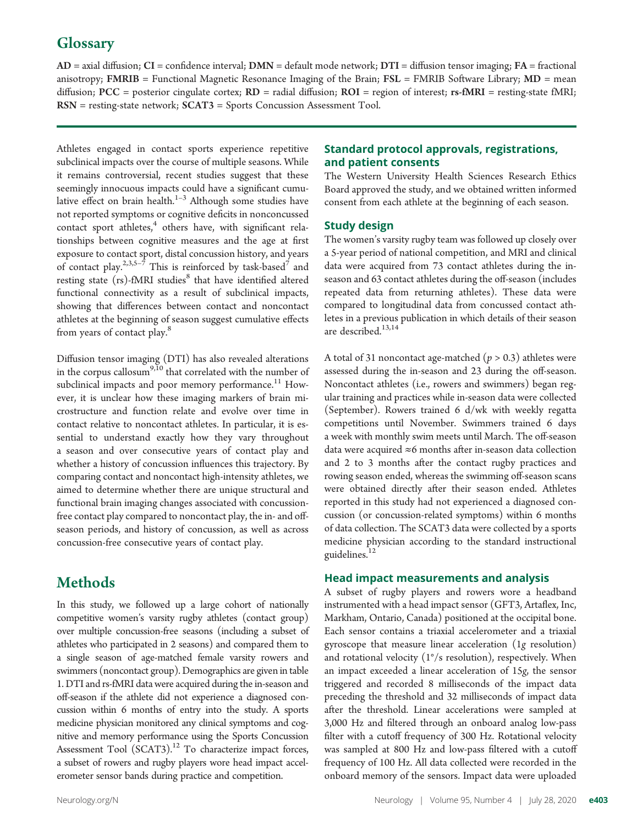# **Glossary**

 $AD =$  axial diffusion;  $CI =$  confidence interval;  $DMN =$  default mode network;  $DTI =$  diffusion tensor imaging;  $FA =$  fractional anisotropy; FMRIB = Functional Magnetic Resonance Imaging of the Brain; FSL = FMRIB Software Library; MD = mean diffusion; PCC = posterior cingulate cortex; RD = radial diffusion; ROI = region of interest; rs-fMRI = resting-state fMRI; RSN = resting-state network; SCAT3 = Sports Concussion Assessment Tool.

Athletes engaged in contact sports experience repetitive subclinical impacts over the course of multiple seasons. While it remains controversial, recent studies suggest that these seemingly innocuous impacts could have a significant cumulative effect on brain health. $1-3$  Although some studies have not reported symptoms or cognitive deficits in nonconcussed contact sport athletes, $4$  others have, with significant relationships between cognitive measures and the age at first exposure to contact sport, distal concussion history, and years of contact play.<sup>2,3,5-7</sup> This is reinforced by task-based<sup>7</sup> and resting state (rs)-fMRI studies<sup>8</sup> that have identified altered functional connectivity as a result of subclinical impacts, showing that differences between contact and noncontact athletes at the beginning of season suggest cumulative effects from years of contact play.<sup>8</sup>

Diffusion tensor imaging (DTI) has also revealed alterations in the corpus callosum<sup>9,10</sup> that correlated with the number of subclinical impacts and poor memory performance.<sup>11</sup> However, it is unclear how these imaging markers of brain microstructure and function relate and evolve over time in contact relative to noncontact athletes. In particular, it is essential to understand exactly how they vary throughout a season and over consecutive years of contact play and whether a history of concussion influences this trajectory. By comparing contact and noncontact high-intensity athletes, we aimed to determine whether there are unique structural and functional brain imaging changes associated with concussionfree contact play compared to noncontact play, the in- and offseason periods, and history of concussion, as well as across concussion-free consecutive years of contact play.

# Methods

In this study, we followed up a large cohort of nationally competitive women's varsity rugby athletes (contact group) over multiple concussion-free seasons (including a subset of athletes who participated in 2 seasons) and compared them to a single season of age-matched female varsity rowers and swimmers (noncontact group). Demographics are given in table 1. DTI and rs-fMRI data were acquired during the in-season and off-season if the athlete did not experience a diagnosed concussion within 6 months of entry into the study. A sports medicine physician monitored any clinical symptoms and cognitive and memory performance using the Sports Concussion Assessment Tool  $(SCAT3).<sup>12</sup>$  To characterize impact forces, a subset of rowers and rugby players wore head impact accelerometer sensor bands during practice and competition.

#### Standard protocol approvals, registrations, and patient consents

The Western University Health Sciences Research Ethics Board approved the study, and we obtained written informed consent from each athlete at the beginning of each season.

#### Study design

The women's varsity rugby team was followed up closely over a 5-year period of national competition, and MRI and clinical data were acquired from 73 contact athletes during the inseason and 63 contact athletes during the off-season (includes repeated data from returning athletes). These data were compared to longitudinal data from concussed contact athletes in a previous publication in which details of their season are described.<sup>13,14</sup>

A total of 31 noncontact age-matched ( $p > 0.3$ ) athletes were assessed during the in-season and 23 during the off-season. Noncontact athletes (i.e., rowers and swimmers) began regular training and practices while in-season data were collected (September). Rowers trained 6 d/wk with weekly regatta competitions until November. Swimmers trained 6 days a week with monthly swim meets until March. The off-season data were acquired  $\approx$ 6 months after in-season data collection and 2 to 3 months after the contact rugby practices and rowing season ended, whereas the swimming off-season scans were obtained directly after their season ended. Athletes reported in this study had not experienced a diagnosed concussion (or concussion-related symptoms) within 6 months of data collection. The SCAT3 data were collected by a sports medicine physician according to the standard instructional guidelines.<sup>12</sup>

#### Head impact measurements and analysis

A subset of rugby players and rowers wore a headband instrumented with a head impact sensor (GFT3, Artaflex, Inc, Markham, Ontario, Canada) positioned at the occipital bone. Each sensor contains a triaxial accelerometer and a triaxial gyroscope that measure linear acceleration (1g resolution) and rotational velocity (1°/s resolution), respectively. When an impact exceeded a linear acceleration of 15g, the sensor triggered and recorded 8 milliseconds of the impact data preceding the threshold and 32 milliseconds of impact data after the threshold. Linear accelerations were sampled at 3,000 Hz and filtered through an onboard analog low-pass filter with a cutoff frequency of 300 Hz. Rotational velocity was sampled at 800 Hz and low-pass filtered with a cutoff frequency of 100 Hz. All data collected were recorded in the onboard memory of the sensors. Impact data were uploaded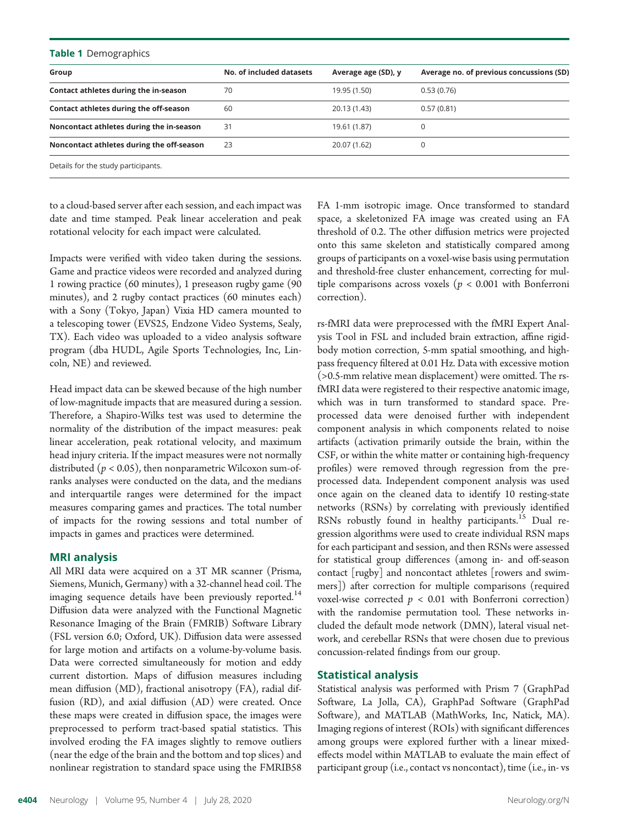| Table 1 Demographics                      |                          |                     |                                          |  |
|-------------------------------------------|--------------------------|---------------------|------------------------------------------|--|
| Group                                     | No. of included datasets | Average age (SD), y | Average no. of previous concussions (SD) |  |
| Contact athletes during the in-season     | 70                       | 19.95 (1.50)        | 0.53(0.76)                               |  |
| Contact athletes during the off-season    | 60                       | 20.13 (1.43)        | 0.57(0.81)                               |  |
| Noncontact athletes during the in-season  | 31                       | 19.61 (1.87)        | 0                                        |  |
| Noncontact athletes during the off-season | 23                       | 20.07 (1.62)        | 0                                        |  |
| Details for the study participants.       |                          |                     |                                          |  |

to a cloud-based server after each session, and each impact was date and time stamped. Peak linear acceleration and peak rotational velocity for each impact were calculated.

Impacts were verified with video taken during the sessions. Game and practice videos were recorded and analyzed during 1 rowing practice (60 minutes), 1 preseason rugby game (90 minutes), and 2 rugby contact practices (60 minutes each) with a Sony (Tokyo, Japan) Vixia HD camera mounted to a telescoping tower (EVS25, Endzone Video Systems, Sealy, TX). Each video was uploaded to a video analysis software program (dba HUDL, Agile Sports Technologies, Inc, Lincoln, NE) and reviewed.

Head impact data can be skewed because of the high number of low-magnitude impacts that are measured during a session. Therefore, a Shapiro-Wilks test was used to determine the normality of the distribution of the impact measures: peak linear acceleration, peak rotational velocity, and maximum head injury criteria. If the impact measures were not normally distributed ( $p < 0.05$ ), then nonparametric Wilcoxon sum-ofranks analyses were conducted on the data, and the medians and interquartile ranges were determined for the impact measures comparing games and practices. The total number of impacts for the rowing sessions and total number of impacts in games and practices were determined.

#### MRI analysis

All MRI data were acquired on a 3T MR scanner (Prisma, Siemens, Munich, Germany) with a 32-channel head coil. The imaging sequence details have been previously reported.<sup>14</sup> Diffusion data were analyzed with the Functional Magnetic Resonance Imaging of the Brain (FMRIB) Software Library (FSL version 6.0; Oxford, UK). Diffusion data were assessed for large motion and artifacts on a volume-by-volume basis. Data were corrected simultaneously for motion and eddy current distortion. Maps of diffusion measures including mean diffusion (MD), fractional anisotropy (FA), radial diffusion (RD), and axial diffusion (AD) were created. Once these maps were created in diffusion space, the images were preprocessed to perform tract-based spatial statistics. This involved eroding the FA images slightly to remove outliers (near the edge of the brain and the bottom and top slices) and nonlinear registration to standard space using the FMRIB58

FA 1-mm isotropic image. Once transformed to standard space, a skeletonized FA image was created using an FA threshold of 0.2. The other diffusion metrics were projected onto this same skeleton and statistically compared among groups of participants on a voxel-wise basis using permutation and threshold-free cluster enhancement, correcting for multiple comparisons across voxels ( $p < 0.001$  with Bonferroni correction).

rs-fMRI data were preprocessed with the fMRI Expert Analysis Tool in FSL and included brain extraction, affine rigidbody motion correction, 5-mm spatial smoothing, and highpass frequency filtered at 0.01 Hz. Data with excessive motion (>0.5-mm relative mean displacement) were omitted. The rsfMRI data were registered to their respective anatomic image, which was in turn transformed to standard space. Preprocessed data were denoised further with independent component analysis in which components related to noise artifacts (activation primarily outside the brain, within the CSF, or within the white matter or containing high-frequency profiles) were removed through regression from the preprocessed data. Independent component analysis was used once again on the cleaned data to identify 10 resting-state networks (RSNs) by correlating with previously identified RSNs robustly found in healthy participants.<sup>15</sup> Dual regression algorithms were used to create individual RSN maps for each participant and session, and then RSNs were assessed for statistical group differences (among in- and off-season contact [rugby] and noncontact athletes [rowers and swimmers]) after correction for multiple comparisons (required voxel-wise corrected  $p < 0.01$  with Bonferroni correction) with the randomise permutation tool. These networks included the default mode network (DMN), lateral visual network, and cerebellar RSNs that were chosen due to previous concussion-related findings from our group.

#### Statistical analysis

Statistical analysis was performed with Prism 7 (GraphPad Software, La Jolla, CA), GraphPad Software (GraphPad Software), and MATLAB (MathWorks, Inc, Natick, MA). Imaging regions of interest (ROIs) with significant differences among groups were explored further with a linear mixedeffects model within MATLAB to evaluate the main effect of participant group (i.e., contact vs noncontact), time (i.e., in- vs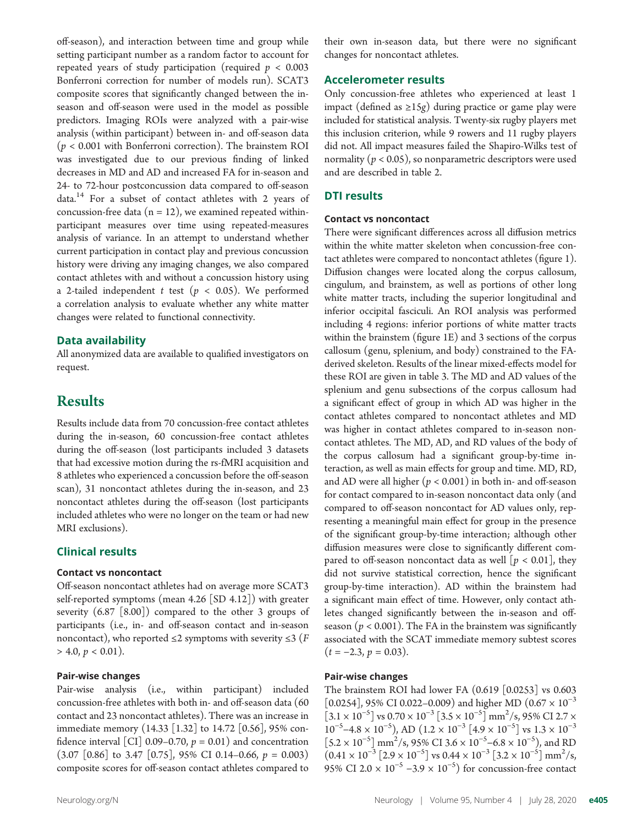off-season), and interaction between time and group while setting participant number as a random factor to account for repeated years of study participation (required  $p < 0.003$ Bonferroni correction for number of models run). SCAT3 composite scores that significantly changed between the inseason and off-season were used in the model as possible predictors. Imaging ROIs were analyzed with a pair-wise analysis (within participant) between in- and off-season data  $(p < 0.001$  with Bonferroni correction). The brainstem ROI was investigated due to our previous finding of linked decreases in MD and AD and increased FA for in-season and 24- to 72-hour postconcussion data compared to off-season data.14 For a subset of contact athletes with 2 years of concussion-free data ( $n = 12$ ), we examined repeated withinparticipant measures over time using repeated-measures analysis of variance. In an attempt to understand whether current participation in contact play and previous concussion history were driving any imaging changes, we also compared contact athletes with and without a concussion history using a 2-tailed independent t test ( $p < 0.05$ ). We performed a correlation analysis to evaluate whether any white matter changes were related to functional connectivity.

#### Data availability

All anonymized data are available to qualified investigators on request.

# **Results**

Results include data from 70 concussion-free contact athletes during the in-season, 60 concussion-free contact athletes during the off-season (lost participants included 3 datasets that had excessive motion during the rs-fMRI acquisition and 8 athletes who experienced a concussion before the off-season scan), 31 noncontact athletes during the in-season, and 23 noncontact athletes during the off-season (lost participants included athletes who were no longer on the team or had new MRI exclusions).

#### Clinical results

#### Contact vs noncontact

Off-season noncontact athletes had on average more SCAT3 self-reported symptoms (mean 4.26 [SD 4.12]) with greater severity (6.87 [8.00]) compared to the other 3 groups of participants (i.e., in- and off-season contact and in-season noncontact), who reported  $\leq 2$  symptoms with severity  $\leq 3$  (*F*  $> 4.0, p < 0.01$ ).

#### Pair-wise changes

Pair-wise analysis (i.e., within participant) included concussion-free athletes with both in- and off-season data (60 contact and 23 noncontact athletes). There was an increase in immediate memory (14.33 [1.32] to 14.72 [0.56], 95% confidence interval [CI] 0.09–0.70,  $p = 0.01$ ) and concentration  $(3.07 \ [0.86]$  to 3.47  $[0.75]$ , 95% CI 0.14–0.66,  $p = 0.003$ ) composite scores for off-season contact athletes compared to

their own in-season data, but there were no significant changes for noncontact athletes.

#### Accelerometer results

Only concussion-free athletes who experienced at least 1 impact (defined as  $\geq 15g$ ) during practice or game play were included for statistical analysis. Twenty-six rugby players met this inclusion criterion, while 9 rowers and 11 rugby players did not. All impact measures failed the Shapiro-Wilks test of normality ( $p < 0.05$ ), so nonparametric descriptors were used and are described in table 2.

#### DTI results

#### Contact vs noncontact

There were significant differences across all diffusion metrics within the white matter skeleton when concussion-free contact athletes were compared to noncontact athletes (figure 1). Diffusion changes were located along the corpus callosum, cingulum, and brainstem, as well as portions of other long white matter tracts, including the superior longitudinal and inferior occipital fasciculi. An ROI analysis was performed including 4 regions: inferior portions of white matter tracts within the brainstem (figure 1E) and 3 sections of the corpus callosum (genu, splenium, and body) constrained to the FAderived skeleton. Results of the linear mixed-effects model for these ROI are given in table 3. The MD and AD values of the splenium and genu subsections of the corpus callosum had a significant effect of group in which AD was higher in the contact athletes compared to noncontact athletes and MD was higher in contact athletes compared to in-season noncontact athletes. The MD, AD, and RD values of the body of the corpus callosum had a significant group-by-time interaction, as well as main effects for group and time. MD, RD, and AD were all higher  $(p < 0.001)$  in both in- and off-season for contact compared to in-season noncontact data only (and compared to off-season noncontact for AD values only, representing a meaningful main effect for group in the presence of the significant group-by-time interaction; although other diffusion measures were close to significantly different compared to off-season noncontact data as well  $[p < 0.01]$ , they did not survive statistical correction, hence the significant group-by-time interaction). AD within the brainstem had a significant main effect of time. However, only contact athletes changed significantly between the in-season and offseason ( $p < 0.001$ ). The FA in the brainstem was significantly associated with the SCAT immediate memory subtest scores  $(t = -2.3, p = 0.03).$ 

#### Pair-wise changes

The brainstem ROI had lower FA (0.619 [0.0253] vs 0.603 [0.0254], 95% CI 0.022–0.009) and higher MD (0.67  $\times$  10<sup>-3</sup>  $\left[3.1 \times 10^{-5}\right]$  vs  $0.70 \times 10^{-3} \left[3.5 \times 10^{-5}\right]$  mm<sup>2</sup>/s, 95% CI 2.7  $\times$  $10^{-5}$ –4.8 × 10<sup>-5</sup>), AD  $(1.2 \times 10^{-3} [4.9 \times 10^{-5}]$  vs  $1.3 \times 10^{-3}$  $[5.2 \times 10^{-5}]$  mm<sup>2</sup>/s, 95% CI 3.6 × 10<sup>-5</sup>-6.8 × 10<sup>-5</sup>), and RD  $(0.41 \times 10^{-3} [2.9 \times 10^{-5}]$  vs  $0.44 \times 10^{-3} [3.2 \times 10^{-5}]$  mm<sup>2</sup>/s, 95% CI 2.0  $\times$  10<sup>-5</sup> –3.9  $\times$  10<sup>-5</sup>) for concussion-free contact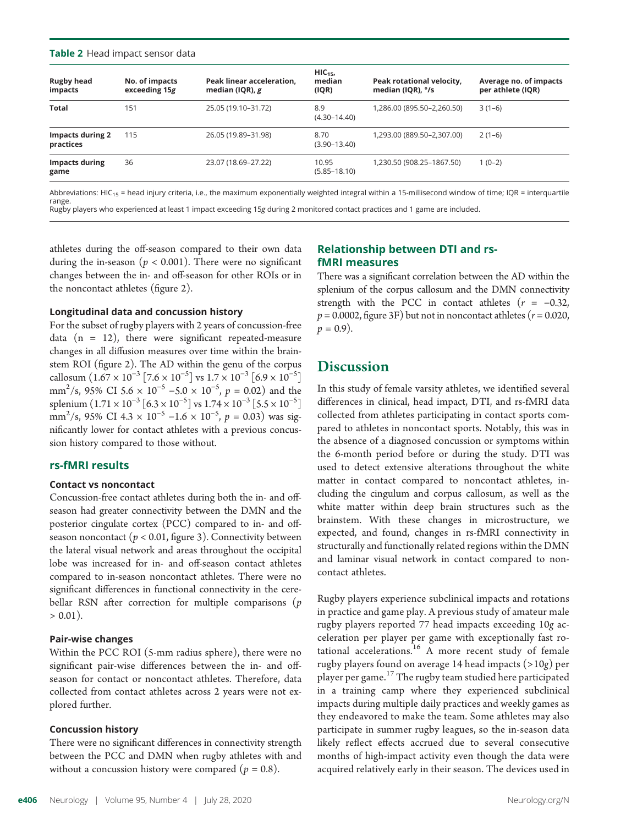#### Table 2 Head impact sensor data

| <b>Rugby head</b><br>impacts         | No. of impacts<br>exceeding 15g | Peak linear acceleration,<br>median (IQR), $g$ | $HIC_{15}$<br>median<br>(IQR) | Peak rotational velocity,<br>median (IQR), °/s | Average no. of impacts<br>per athlete (IQR) |
|--------------------------------------|---------------------------------|------------------------------------------------|-------------------------------|------------------------------------------------|---------------------------------------------|
| <b>Total</b>                         | 151                             | 25.05 (19.10-31.72)                            | 8.9<br>$(4.30 - 14.40)$       | 1,286.00 (895.50-2,260.50)                     | $3(1-6)$                                    |
| <b>Impacts during 2</b><br>practices | 115                             | 26.05 (19.89-31.98)                            | 8.70<br>$(3.90 - 13.40)$      | 1,293.00 (889.50-2,307.00)                     | $2(1-6)$                                    |
| <b>Impacts during</b><br>game        | 36                              | 23.07 (18.69-27.22)                            | 10.95<br>$(5.85 - 18.10)$     | 1,230.50 (908.25-1867.50)                      | $1(0-2)$                                    |

Abbreviations: HIC<sub>15</sub> = head injury criteria, i.e., the maximum exponentially weighted integral within a 15-millisecond window of time; IQR = interquartile range. Rugby players who experienced at least 1 impact exceeding 15g during 2 monitored contact practices and 1 game are included.

athletes during the off-season compared to their own data during the in-season ( $p < 0.001$ ). There were no significant changes between the in- and off-season for other ROIs or in the noncontact athletes (figure 2).

#### Longitudinal data and concussion history

For the subset of rugby players with 2 years of concussion-free data  $(n = 12)$ , there were significant repeated-measure changes in all diffusion measures over time within the brainstem ROI (figure 2). The AD within the genu of the corpus callosum  $(1.67 \times 10^{-3} [7.6 \times 10^{-5}]$  vs  $1.7 \times 10^{-3} [6.9 \times 10^{-5}]$ mm<sup>2</sup>/s, 95% CI 5.6 × 10<sup>-5</sup> –5.0 × 10<sup>-5</sup>,  $p = 0.02$ ) and the splenium  $(1.71 \times 10^{-3} [6.3 \times 10^{-5}]$  vs  $1.74 \times 10^{-3} [5.5 \times 10^{-5}]$  $\text{mm}^2$ /s, 95% CI 4.3 × 10<sup>-5</sup> −1.6 × 10<sup>-5</sup>, p = 0.03) was sig-<br>pificantly lower for contact athletes with a previous concusnificantly lower for contact athletes with a previous concussion history compared to those without.

#### rs-fMRI results

#### Contact vs noncontact

Concussion-free contact athletes during both the in- and offseason had greater connectivity between the DMN and the posterior cingulate cortex (PCC) compared to in- and offseason noncontact ( $p < 0.01$ , figure 3). Connectivity between the lateral visual network and areas throughout the occipital lobe was increased for in- and off-season contact athletes compared to in-season noncontact athletes. There were no significant differences in functional connectivity in the cerebellar RSN after correction for multiple comparisons  $(p)$  $> 0.01$ ).

#### Pair-wise changes

Within the PCC ROI (5-mm radius sphere), there were no significant pair-wise differences between the in- and offseason for contact or noncontact athletes. Therefore, data collected from contact athletes across 2 years were not explored further.

#### Concussion history

There were no significant differences in connectivity strength between the PCC and DMN when rugby athletes with and without a concussion history were compared ( $p = 0.8$ ).

#### Relationship between DTI and rsfMRI measures

There was a significant correlation between the AD within the splenium of the corpus callosum and the DMN connectivity strength with the PCC in contact athletes  $(r = -0.32,$  $p = 0.0002$ , figure 3F) but not in noncontact athletes ( $r = 0.020$ ,  $p = 0.9$ ).

## **Discussion**

In this study of female varsity athletes, we identified several differences in clinical, head impact, DTI, and rs-fMRI data collected from athletes participating in contact sports compared to athletes in noncontact sports. Notably, this was in the absence of a diagnosed concussion or symptoms within the 6-month period before or during the study. DTI was used to detect extensive alterations throughout the white matter in contact compared to noncontact athletes, including the cingulum and corpus callosum, as well as the white matter within deep brain structures such as the brainstem. With these changes in microstructure, we expected, and found, changes in rs-fMRI connectivity in structurally and functionally related regions within the DMN and laminar visual network in contact compared to noncontact athletes.

Rugby players experience subclinical impacts and rotations in practice and game play. A previous study of amateur male rugby players reported 77 head impacts exceeding 10g acceleration per player per game with exceptionally fast rotational accelerations.<sup>16</sup> A more recent study of female rugby players found on average 14 head impacts (>10g) per player per game.<sup>17</sup> The rugby team studied here participated in a training camp where they experienced subclinical impacts during multiple daily practices and weekly games as they endeavored to make the team. Some athletes may also participate in summer rugby leagues, so the in-season data likely reflect effects accrued due to several consecutive months of high-impact activity even though the data were acquired relatively early in their season. The devices used in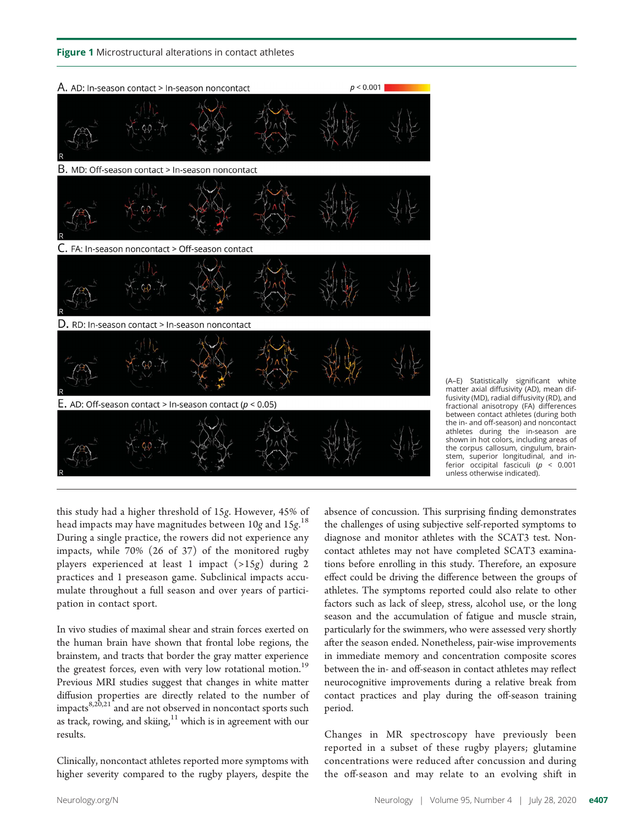

(A–E) Statistically significant white matter axial diffusivity (AD), mean diffusivity (MD), radial diffusivity (RD), and fractional anisotropy (FA) differences between contact athletes (during both the in- and off-season) and noncontact athletes during the in-season are shown in hot colors, including areas of the corpus callosum, cingulum, brainstem, superior longitudinal, and inferior occipital fasciculi ( $p < 0.001$ unless otherwise indicated).

this study had a higher threshold of 15g. However, 45% of head impacts may have magnitudes between  $10g$  and  $15g^{18}$ .<br>During a single practice, the rowers did not experience any During a single practice, the rowers did not experience any impacts, while 70% (26 of 37) of the monitored rugby players experienced at least 1 impact (>15g) during 2 practices and 1 preseason game. Subclinical impacts accumulate throughout a full season and over years of participation in contact sport.

In vivo studies of maximal shear and strain forces exerted on the human brain have shown that frontal lobe regions, the brainstem, and tracts that border the gray matter experience the greatest forces, even with very low rotational motion.<sup>19</sup> Previous MRI studies suggest that changes in white matter diffusion properties are directly related to the number of impacts $8,20,21$  and are not observed in noncontact sports such as track, rowing, and skiing, $11$  which is in agreement with our results.

Clinically, noncontact athletes reported more symptoms with higher severity compared to the rugby players, despite the absence of concussion. This surprising finding demonstrates the challenges of using subjective self-reported symptoms to diagnose and monitor athletes with the SCAT3 test. Noncontact athletes may not have completed SCAT3 examinations before enrolling in this study. Therefore, an exposure effect could be driving the difference between the groups of athletes. The symptoms reported could also relate to other factors such as lack of sleep, stress, alcohol use, or the long season and the accumulation of fatigue and muscle strain, particularly for the swimmers, who were assessed very shortly after the season ended. Nonetheless, pair-wise improvements in immediate memory and concentration composite scores between the in- and off-season in contact athletes may reflect neurocognitive improvements during a relative break from contact practices and play during the off-season training period.

Changes in MR spectroscopy have previously been reported in a subset of these rugby players; glutamine concentrations were reduced after concussion and during the off-season and may relate to an evolving shift in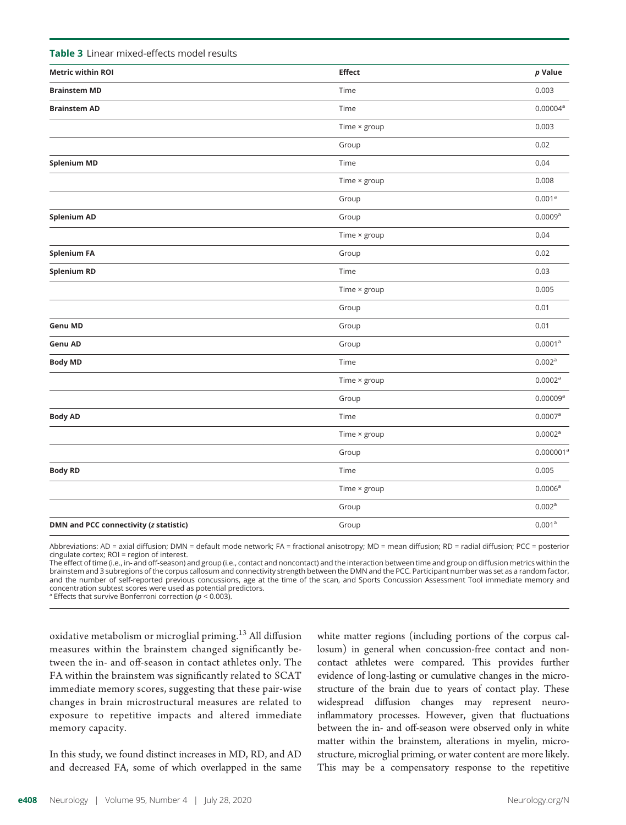| <b>Table 5</b> Lifted This current cash in our results |                     |                     |
|--------------------------------------------------------|---------------------|---------------------|
| <b>Metric within ROI</b>                               | <b>Effect</b>       | $p$ Value           |
| <b>Brainstem MD</b>                                    | Time                | 0.003               |
| <b>Brainstem AD</b>                                    | Time                | $0.00004^{\rm a}$   |
|                                                        | Time × group        | 0.003               |
|                                                        | Group               | 0.02                |
| <b>Splenium MD</b>                                     | Time                | 0.04                |
|                                                        | Time $\times$ group | 0.008               |
|                                                        | Group               | 0.001 <sup>a</sup>  |
| <b>Splenium AD</b>                                     | Group               | $0.0009^{a}$        |
|                                                        | Time × group        | 0.04                |
| <b>Splenium FA</b>                                     | Group               | 0.02                |
| <b>Splenium RD</b>                                     | Time                | 0.03                |
|                                                        | Time $\times$ group | 0.005               |
|                                                        | Group               | 0.01                |
| <b>Genu MD</b>                                         | Group               | 0.01                |
| Genu AD                                                | Group               | $0.0001^a$          |
| <b>Body MD</b>                                         | Time                | 0.002 <sup>a</sup>  |
|                                                        | Time × group        | $0.0002^{\rm a}$    |
|                                                        | Group               | 0.00009a            |
| <b>Body AD</b>                                         | Time                | $0.0007^{\rm a}$    |
|                                                        | Time × group        | 0.0002 <sup>a</sup> |
|                                                        | Group               | $0.000001^a$        |
| <b>Body RD</b>                                         | Time                | 0.005               |
|                                                        | Time × group        | $0.0006^{a}$        |
|                                                        | Group               | 0.002 <sup>a</sup>  |
| DMN and PCC connectivity (z statistic)                 | Group               | 0.001 <sup>a</sup>  |
|                                                        |                     |                     |

Abbreviations: AD = axial diffusion; DMN = default mode network; FA = fractional anisotropy; MD = mean diffusion; RD = radial diffusion; PCC = posterior cingulate cortex; ROI = region of interest.

The effect of time (i.e., in- and off-season) and group (i.e., contact and noncontact) and the interaction between time and group on diffusion metrics within the brainstem and 3 subregions of the corpus callosum and connectivity strength between the DMN and the PCC. Participant number was set as a random factor, and the number of self-reported previous concussions, age at the time of the scan, and Sports Concussion Assessment Tool immediate memory and concentration subtest scores were used as potential predictors.

<sup>a</sup> Effects that survive Bonferroni correction ( $p < 0.003$ ).

Table 3 Linear mixed-effects model results

oxidative metabolism or microglial priming.<sup>13</sup> All diffusion measures within the brainstem changed significantly between the in- and off-season in contact athletes only. The FA within the brainstem was significantly related to SCAT immediate memory scores, suggesting that these pair-wise changes in brain microstructural measures are related to exposure to repetitive impacts and altered immediate memory capacity.

In this study, we found distinct increases in MD, RD, and AD and decreased FA, some of which overlapped in the same

white matter regions (including portions of the corpus callosum) in general when concussion-free contact and noncontact athletes were compared. This provides further evidence of long-lasting or cumulative changes in the microstructure of the brain due to years of contact play. These widespread diffusion changes may represent neuroinflammatory processes. However, given that fluctuations between the in- and off-season were observed only in white matter within the brainstem, alterations in myelin, microstructure, microglial priming, or water content are more likely. This may be a compensatory response to the repetitive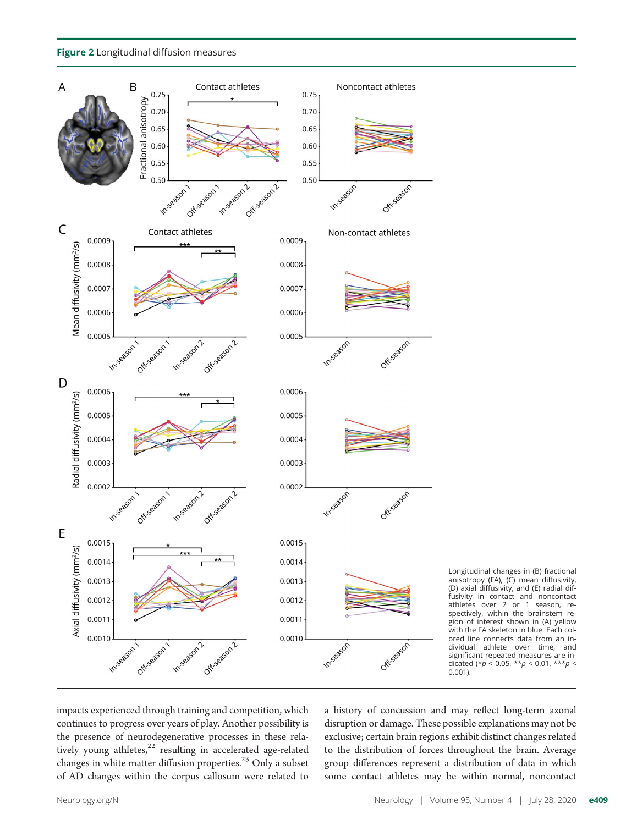



Longitudinal changes in (B) fractional anisotropy (FA), (C) mean diffusivity, (D) axial diffusivity, and (E) radial diffusivity in contact and noncontact athletes over 2 or 1 season, respectively, within the brainstem region of interest shown in (A) yellow with the FA skeleton in blue. Each colored line connects data from an individual athlete over time, and significant repeated measures are indicated (\* $p < 0.05$ , \*\* $p < 0.01$ , \*\*\* $p <$ 0.001).

impacts experienced through training and competition, which continues to progress over years of play. Another possibility is the presence of neurodegenerative processes in these relatively young athletes, $22$  resulting in accelerated age-related changes in white matter diffusion properties.<sup>23</sup> Only a subset of AD changes within the corpus callosum were related to

a history of concussion and may reflect long-term axonal disruption or damage. These possible explanations may not be exclusive; certain brain regions exhibit distinct changes related to the distribution of forces throughout the brain. Average group differences represent a distribution of data in which some contact athletes may be within normal, noncontact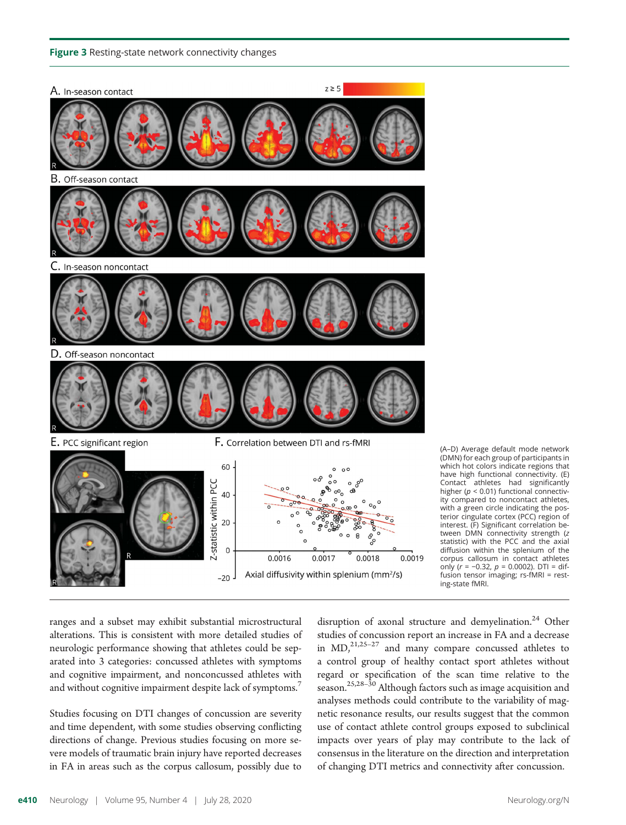#### Figure 3 Resting-state network connectivity changes



(A–D) Average default mode network (DMN) for each group of participants in which hot colors indicate regions that have high functional connectivity. (E) Contact athletes had significantly higher ( $p < 0.01$ ) functional connectivity compared to noncontact athletes, with a green circle indicating the posterior cingulate cortex (PCC) region of interest. (F) Significant correlation between DMN connectivity strength (z statistic) with the PCC and the axial diffusion within the splenium of the corpus callosum in contact athletes<br>only  $(r = -0.32, p = 0.0002)$ . DTI = difonly (r <sup>=</sup> <sup>−</sup>0.32, p = 0.0002). DTI = dif-fusion tensor imaging; rs-fMRI = resting-state fMRI.

ranges and a subset may exhibit substantial microstructural alterations. This is consistent with more detailed studies of neurologic performance showing that athletes could be separated into 3 categories: concussed athletes with symptoms and cognitive impairment, and nonconcussed athletes with and without cognitive impairment despite lack of symptoms.<sup>7</sup>

Studies focusing on DTI changes of concussion are severity and time dependent, with some studies observing conflicting directions of change. Previous studies focusing on more severe models of traumatic brain injury have reported decreases in FA in areas such as the corpus callosum, possibly due to

disruption of axonal structure and demyelination.<sup>24</sup> Other studies of concussion report an increase in FA and a decrease in  $MD<sub>1</sub><sup>21,25-27</sup>$  and many compare concussed athletes to a control group of healthy contact sport athletes without regard or specification of the scan time relative to the season.25,28–<sup>30</sup> Although factors such as image acquisition and analyses methods could contribute to the variability of magnetic resonance results, our results suggest that the common use of contact athlete control groups exposed to subclinical impacts over years of play may contribute to the lack of consensus in the literature on the direction and interpretation of changing DTI metrics and connectivity after concussion.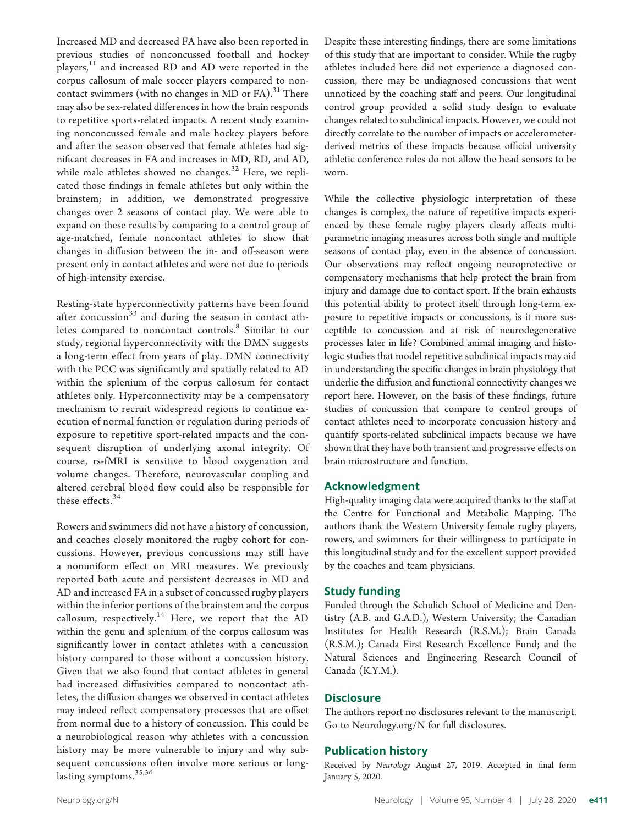Increased MD and decreased FA have also been reported in previous studies of nonconcussed football and hockey  $p$ layers, $11$  and increased RD and AD were reported in the corpus callosum of male soccer players compared to noncontact swimmers (with no changes in MD or  $FA$ ).<sup>31</sup> There may also be sex-related differences in how the brain responds to repetitive sports-related impacts. A recent study examining nonconcussed female and male hockey players before and after the season observed that female athletes had significant decreases in FA and increases in MD, RD, and AD, while male athletes showed no changes. $32$  Here, we replicated those findings in female athletes but only within the brainstem; in addition, we demonstrated progressive changes over 2 seasons of contact play. We were able to expand on these results by comparing to a control group of age-matched, female noncontact athletes to show that changes in diffusion between the in- and off-season were present only in contact athletes and were not due to periods of high-intensity exercise.

Resting-state hyperconnectivity patterns have been found after concussion $33$  and during the season in contact athletes compared to noncontact controls.<sup>8</sup> Similar to our study, regional hyperconnectivity with the DMN suggests a long-term effect from years of play. DMN connectivity with the PCC was significantly and spatially related to AD within the splenium of the corpus callosum for contact athletes only. Hyperconnectivity may be a compensatory mechanism to recruit widespread regions to continue execution of normal function or regulation during periods of exposure to repetitive sport-related impacts and the consequent disruption of underlying axonal integrity. Of course, rs-fMRI is sensitive to blood oxygenation and volume changes. Therefore, neurovascular coupling and altered cerebral blood flow could also be responsible for these effects.<sup>34</sup>

Rowers and swimmers did not have a history of concussion, and coaches closely monitored the rugby cohort for concussions. However, previous concussions may still have a nonuniform effect on MRI measures. We previously reported both acute and persistent decreases in MD and AD and increased FA in a subset of concussed rugby players within the inferior portions of the brainstem and the corpus callosum, respectively.<sup>14</sup> Here, we report that the AD within the genu and splenium of the corpus callosum was significantly lower in contact athletes with a concussion history compared to those without a concussion history. Given that we also found that contact athletes in general had increased diffusivities compared to noncontact athletes, the diffusion changes we observed in contact athletes may indeed reflect compensatory processes that are offset from normal due to a history of concussion. This could be a neurobiological reason why athletes with a concussion history may be more vulnerable to injury and why subsequent concussions often involve more serious or longlasting symptoms.<sup>35,36</sup>

Despite these interesting findings, there are some limitations of this study that are important to consider. While the rugby athletes included here did not experience a diagnosed concussion, there may be undiagnosed concussions that went unnoticed by the coaching staff and peers. Our longitudinal control group provided a solid study design to evaluate changes related to subclinical impacts. However, we could not directly correlate to the number of impacts or accelerometerderived metrics of these impacts because official university athletic conference rules do not allow the head sensors to be worn.

While the collective physiologic interpretation of these changes is complex, the nature of repetitive impacts experienced by these female rugby players clearly affects multiparametric imaging measures across both single and multiple seasons of contact play, even in the absence of concussion. Our observations may reflect ongoing neuroprotective or compensatory mechanisms that help protect the brain from injury and damage due to contact sport. If the brain exhausts this potential ability to protect itself through long-term exposure to repetitive impacts or concussions, is it more susceptible to concussion and at risk of neurodegenerative processes later in life? Combined animal imaging and histologic studies that model repetitive subclinical impacts may aid in understanding the specific changes in brain physiology that underlie the diffusion and functional connectivity changes we report here. However, on the basis of these findings, future studies of concussion that compare to control groups of contact athletes need to incorporate concussion history and quantify sports-related subclinical impacts because we have shown that they have both transient and progressive effects on brain microstructure and function.

#### Acknowledgment

High-quality imaging data were acquired thanks to the staff at the Centre for Functional and Metabolic Mapping. The authors thank the Western University female rugby players, rowers, and swimmers for their willingness to participate in this longitudinal study and for the excellent support provided by the coaches and team physicians.

#### Study funding

Funded through the Schulich School of Medicine and Dentistry (A.B. and G.A.D.), Western University; the Canadian Institutes for Health Research (R.S.M.); Brain Canada (R.S.M.); Canada First Research Excellence Fund; and the Natural Sciences and Engineering Research Council of Canada (K.Y.M.).

#### **Disclosure**

The authors report no disclosures relevant to the manuscript. Go to [Neurology.org/N](https://n.neurology.org/lookup/doi/10.1212/WNL.0000000000009821) for full disclosures.

#### Publication history

Received by Neurology August 27, 2019. Accepted in final form January 5, 2020.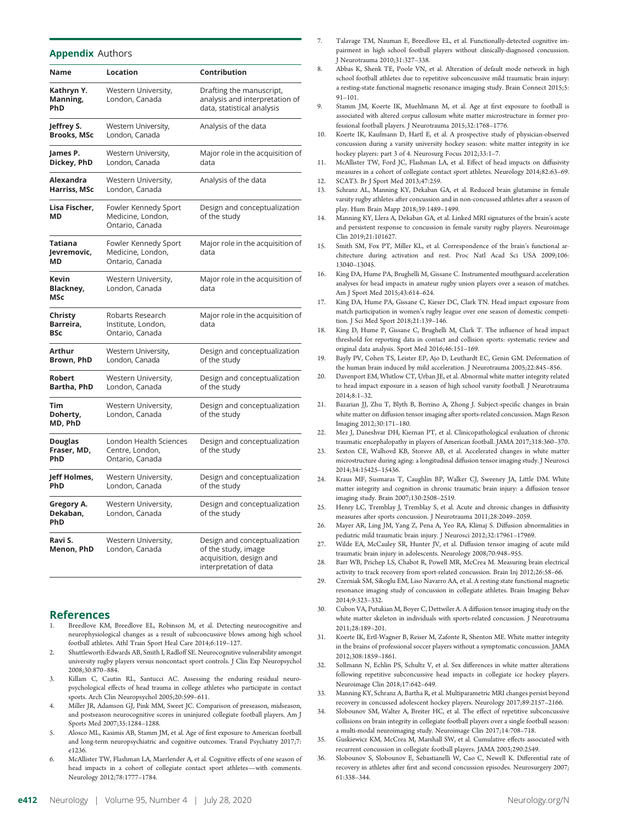#### **Appendix Authors**

| Name                                        | Location                                                     | Contribution                                                                                             |
|---------------------------------------------|--------------------------------------------------------------|----------------------------------------------------------------------------------------------------------|
| Kathryn Y.<br>Manning,<br>PhD               | Western University,<br>London, Canada                        | Drafting the manuscript,<br>analysis and interpretation of<br>data, statistical analysis                 |
| Jeffrey S.<br><b>Brooks, MSc</b>            | Western University,<br>London, Canada                        | Analysis of the data                                                                                     |
| James P.<br>Dickey, PhD                     | Western University,<br>London, Canada                        | Major role in the acquisition of<br>data                                                                 |
| <b>Alexandra</b><br>Harriss, MSc            | Western University,<br>London, Canada                        | Analysis of the data                                                                                     |
| Lisa Fischer,<br>MD                         | Fowler Kennedy Sport<br>Medicine, London,<br>Ontario, Canada | Design and conceptualization<br>of the study                                                             |
| Tatiana<br>Jevremovic,<br>MD                | Fowler Kennedy Sport<br>Medicine, London,<br>Ontario, Canada | Major role in the acquisition of<br>data                                                                 |
| Kevin<br>Blackney,<br><b>MSc</b>            | Western University,<br>London, Canada                        | Major role in the acquisition of<br>data                                                                 |
| Christy<br>Barreira,<br><b>BSc</b>          | Robarts Research<br>Institute, London,<br>Ontario, Canada    | Major role in the acquisition of<br>data                                                                 |
| Arthur<br>Brown, PhD                        | Western University,<br>London, Canada                        | Design and conceptualization<br>of the study                                                             |
| Robert<br>Bartha, PhD                       | Western University,<br>London, Canada                        | Design and conceptualization<br>of the study                                                             |
| Tim<br>Doherty,<br>MD, PhD                  | Western University,<br>London, Canada                        | Design and conceptualization<br>of the study                                                             |
| <b>Douglas</b><br>Fraser, MD,<br><b>PhD</b> | London Health Sciences<br>Centre, London,<br>Ontario, Canada | Design and conceptualization<br>of the study                                                             |
| Jeff Holmes,<br><b>PhD</b>                  | Western University,<br>London, Canada                        | Design and conceptualization<br>of the study                                                             |
| Gregory A.<br>Dekaban,<br>PhD               | Western University,<br>London, Canada                        | Design and conceptualization<br>of the study                                                             |
| Ravi S.<br>Menon, PhD                       | Western University,<br>London, Canada                        | Design and conceptualization<br>of the study, image<br>acquisition, design and<br>interpretation of data |

#### References

- Breedlove KM, Breedlove EL, Robinson M, et al. Detecting neurocognitive and neurophysiological changes as a result of subconcussive blows among high school football athletes. Athl Train Sport Heal Care 2014;6:119–127.
- 2. Shuttleworth-Edwards AB, Smith I, Radloff SE. Neurocognitive vulnerability amongst university rugby players versus noncontact sport controls. J Clin Exp Neuropsychol 2008;30:870–884.
- 3. Killam C, Cautin RL, Santucci AC. Assessing the enduring residual neuropsychological effects of head trauma in college athletes who participate in contact sports. Arch Clin Neuropsychol 2005;20:599–611.
- 4. Miller JR, Adamson GJ, Pink MM, Sweet JC. Comparison of preseason, midseason, and postseason neurocognitive scores in uninjured collegiate football players. Am J Sports Med 2007;35:1284–1288.
- 5. Alosco ML, Kasimis AB, Stamm JM, et al. Age of first exposure to American football and long-term neuropsychiatric and cognitive outcomes. Transl Psychiatry 2017;7: e1236.
- 6. McAllister TW, Flashman LA, Maerlender A, et al. Cognitive effects of one season of head impacts in a cohort of collegiate contact sport athletes—with comments. Neurology 2012;78:1777–1784.
- Talavage TM, Nauman E, Breedlove EL, et al. Functionally-detected cognitive impairment in high school football players without clinically-diagnosed concussion. Neurotrauma 2010;31:327-338.
- 8. Abbas K, Shenk TE, Poole VN, et al. Alteration of default mode network in high school football athletes due to repetitive subconcussive mild traumatic brain injury: a resting-state functional magnetic resonance imaging study. Brain Connect 2015;5: 91–101.
- Stamm JM, Koerte IK, Muehlmann M, et al. Age at first exposure to football is associated with altered corpus callosum white matter microstructure in former professional football players. J Neurotrauma 2015;32:1768–1776.
- 10. Koerte IK, Kaufmann D, Hartl E, et al. A prospective study of physician-observed concussion during a varsity university hockey season: white matter integrity in ice hockey players: part 3 of 4. Neurosurg Focus 2012;33:1–7.
- 11. McAllister TW, Ford JC, Flashman LA, et al. Effect of head impacts on diffusivity measures in a cohort of collegiate contact sport athletes. Neurology 2014;82:63–69. 12. SCAT3. Br J Sport Med 2013;47:259.
- 13. Schranz AL, Manning KY, Dekaban GA, et al. Reduced brain glutamine in female varsity rugby athletes after concussion and in non-concussed athletes after a season of play. Hum Brain Mapp 2018;39:1489–1499.
- 14. Manning KY, Llera A, Dekaban GA, et al. Linked MRI signatures of the brain's acute and persistent response to concussion in female varsity rugby players. Neuroimage Clin 2019;21:101627.
- 15. Smith SM, Fox PT, Miller KL, et al. Correspondence of the brain's functional architecture during activation and rest. Proc Natl Acad Sci USA 2009;106: 13040–13045.
- 16. King DA, Hume PA, Brughelli M, Gissane C. Instrumented mouthguard acceleration analyses for head impacts in amateur rugby union players over a season of matches. Am J Sport Med 2015;43:614–624.
- 17. King DA, Hume PA, Gissane C, Kieser DC, Clark TN. Head impact exposure from match participation in women's rugby league over one season of domestic competition. J Sci Med Sport 2018;21:139–146.
- 18. King D, Hume P, Gissane C, Brughelli M, Clark T. The influence of head impact threshold for reporting data in contact and collision sports: systematic review and original data analysis. Sport Med 2016;46:151–169.
- 19. Bayly PV, Cohen TS, Leister EP, Ajo D, Leuthardt EC, Genin GM. Deformation of the human brain induced by mild acceleration. J Neurotrauma 2005;22:845–856.
- 20. Davenport EM, Whitlow CT, Urban JE, et al. Abnormal white matter integrity related to head impact exposure in a season of high school varsity football. J Neurotrauma 2014;8:1–32.
- 21. Bazarian JJ, Zhu T, Blyth B, Borrino A, Zhong J. Subject-specific changes in brain white matter on diffusion tensor imaging after sports-related concussion. Magn Reson Imaging 2012;30:171–180.
- 22. Mez J, Daneshvar DH, Kiernan PT, et al. Clinicopathological evaluation of chronic traumatic encephalopathy in players of American football. JAMA 2017;318:360–370.
- 23. Sexton CE, Walhovd KB, Storsve AB, et al. Accelerated changes in white matter microstructure during aging: a longitudinal diffusion tensor imaging study. J Neurosci 2014;34:15425–15436.
- 24. Kraus MF, Susmaras T, Caughlin BP, Walker CJ, Sweeney JA, Little DM. White matter integrity and cognition in chronic traumatic brain injury: a diffusion tensor imaging study. Brain 2007;130:2508–2519.
- 25. Henry LC, Tremblay J, Tremblay S, et al. Acute and chronic changes in diffusivity measures after sports concussion. J Neurotrauma 2011;28:2049–2059.
- 26. Mayer AR, Ling JM, Yang Z, Pena A, Yeo RA, Klimaj S. Diffusion abnormalities in pediatric mild traumatic brain injury. J Neurosci 2012;32:17961–17969.
- 27. Wilde EA, McCauley SR, Hunter JV, et al. Diffusion tensor imaging of acute mild traumatic brain injury in adolescents. Neurology 2008;70:948–955.
- 28. Barr WB, Prichep LS, Chabot R, Powell MR, McCrea M. Measuring brain electrical activity to track recovery from sport-related concussion. Brain Inj 2012;26:58–66.
- 29. Czerniak SM, Sikoglu EM, Liso Navarro AA, et al. A resting state functional magnetic resonance imaging study of concussion in collegiate athletes. Brain Imaging Behav 2014;9:323–332.
- 30. Cubon VA, Putukian M, Boyer C, Dettwiler A. A diffusion tensor imaging study on the white matter skeleton in individuals with sports-related concussion. J Neurotrauma 2011;28:189–201.
- 31. Koerte IK, Ertl-Wagner B, Reiser M, Zafonte R, Shenton ME. White matter integrity in the brains of professional soccer players without a symptomatic concussion. JAMA 2012;308:1859–1861.
- 32. Sollmann N, Echlin PS, Schultz V, et al. Sex differences in white matter alterations following repetitive subconcussive head impacts in collegiate ice hockey players. Neuroimage Clin 2018;17:642–649.
- 33. Manning KY, Schranz A, Bartha R, et al. Multiparametric MRI changes persist beyond recovery in concussed adolescent hockey players. Neurology 2017;89:2157–2166.
- 34. Slobounov SM, Walter A, Breiter HC, et al. The effect of repetitive subconcussive collisions on brain integrity in collegiate football players over a single football season: a multi-modal neuroimaging study. Neuroimage Clin 2017;14:708–718.
- 35. Guskiewicz KM, McCrea M, Marshall SW, et al. Cumulative effects associated with recurrent concussion in collegiate football players. JAMA 2003;290:2549.
- 36. Slobounov S, Slobounov E, Sebastianelli W, Cao C, Newell K. Differential rate of recovery in athletes after first and second concussion episodes. Neurosurgery 2007; 61:338–344.